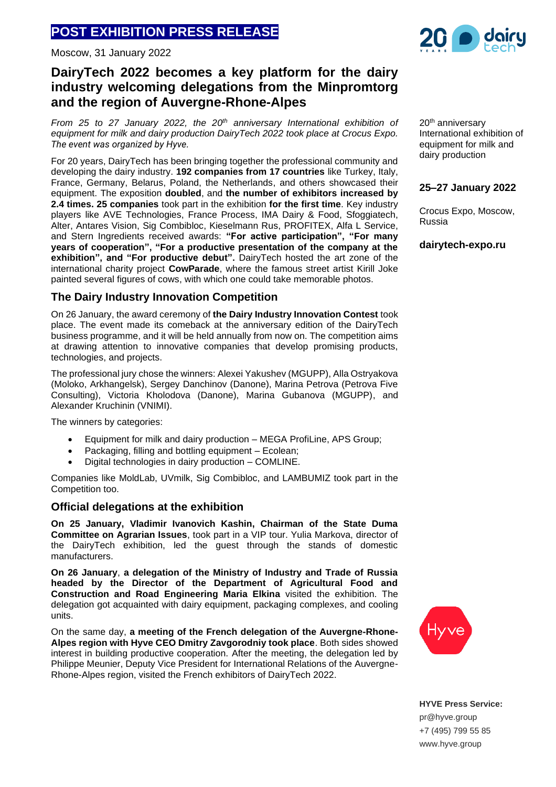# **POST EXHIBITION PRESS RELEASЕ**

Moscow, 31 January 2022

# **DairyTech 2022 becomes a key platform for the dairy industry welcoming delegations from the Minpromtorg and the region of Auvergne-Rhone-Alpes**

*From 25 to 27 January 2022, the 20th anniversary International exhibition of equipment for milk and dairy production DairyTech 2022 took place at Crocus Expo. The event was organized by Hyve.*

For 20 years, DairyTech has been bringing together the professional community and developing the dairy industry. **192 companies from 17 countries** like Turkey, Italy, France, Germany, Belarus, Poland, the Netherlands, and others showcased their equipment. The exposition **doubled**, and **the number of exhibitors increased by 2.4 times. 25 companies** took part in the exhibition **for the first time**. Key industry players like AVE Technologies, France Process, IMA Dairy & Food, Sfoggiatech, Alter, Antares Vision, Sig Combibloc, Kieselmann Rus, PROFITEX, Alfa L Service, and Stern Ingredients received awards: **"For active participation", "For many years of cooperation", "For a productive presentation of the company at the exhibition", and "For productive debut".** DairyTech hosted the art zone of the international charity project **CowParade**, where the famous street artist Kirill Joke painted several figures of cows, with which one could take memorable photos.

### **The Dairy Industry Innovation Competition**

On 26 January, the award ceremony of **the Dairy Industry Innovation Contest** took place. The event made its comeback at the anniversary edition of the DairyTech business programme, and it will be held annually from now on. The competition aims at drawing attention to innovative companies that develop promising products, technologies, and projects.

The professional jury chose the winners: Alexei Yakushev (MGUPP), Alla Ostryakova (Moloko, Arkhangelsk), Sergey Danchinov (Danone), Marina Petrova (Petrova Five Consulting), Victoria Kholodova (Danone), Marina Gubanova (MGUPP), and Alexander Kruchinin (VNIMI).

The winners by categories:

- Equipment for milk and dairy production MEGA ProfiLine, APS Group;
- Packaging, filling and bottling equipment Ecolean;
- Digital technologies in dairy production COMLINE.

Companies like MoldLab, UVmilk, Sig Combibloc, and LAMBUMIZ took part in the Competition too.

#### **Official delegations at the exhibition**

**On 25 January, Vladimir Ivanovich Kashin, Chairman of the State Duma Committee on Agrarian Issues**, took part in a VIP tour. Yulia Markova, director of the DairyTech exhibition, led the guest through the stands of domestic manufacturers.

**On 26 January**, **a delegation of the Ministry of Industry and Trade of Russia headed by the Director of the Department of Agricultural Food and Construction and Road Engineering Maria Elkina** visited the exhibition. The delegation got acquainted with dairy equipment, packaging complexes, and cooling units.

On the same day, **a meeting of the French delegation of the Auvergne-Rhone-Alpes region with Hyve CEO Dmitry Zavgorodniy took place**. Both sides showed interest in building productive cooperation. After the meeting, the delegation led by Philippe Meunier, Deputy Vice President for International Relations of the Auvergne-Rhone-Alpes region, visited the French exhibitors of DairyTech 2022.



20<sup>th</sup> anniversary International exhibition of equipment for milk and dairy production

## **25–27 January 2022**

Crocus Expo, Moscow, Russia

**dairytech-expo.ru**

**HYVE Press Service:** pr@hyve.group +7 (495) 799 55 85 www.hyve.group